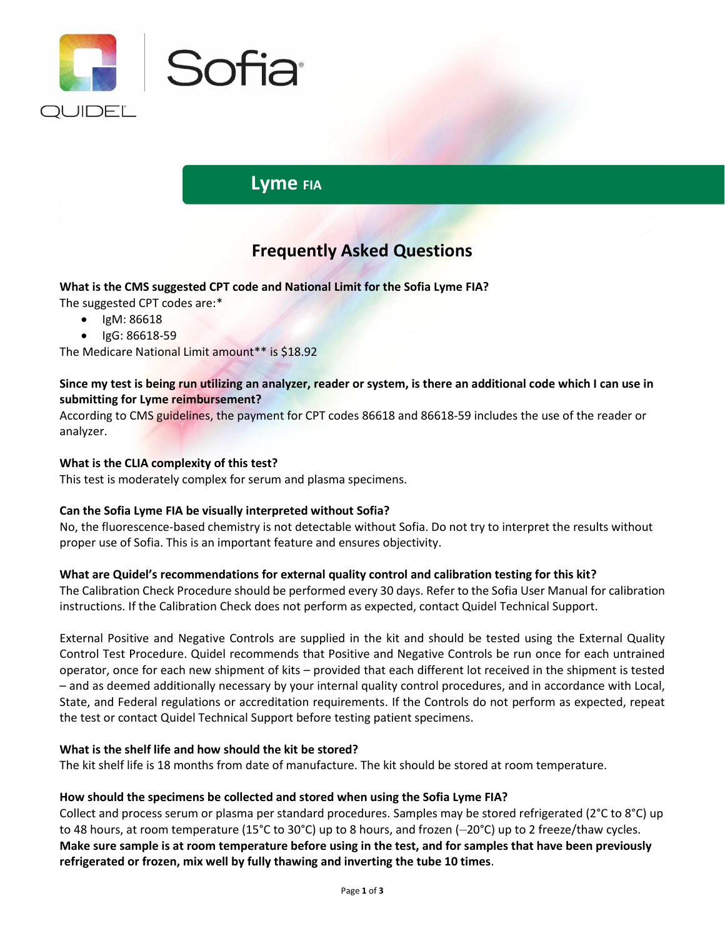

# **Lyme FIA**

# **Frequently Asked Questions**

**What is the CMS suggested CPT code and National Limit for the Sofia Lyme FIA?**

The suggested CPT codes are:\*

- IgM: 86618
- IgG: 86618-59

The Medicare National Limit amount\*\* is \$18.92

## **Since my test is being run utilizing an analyzer, reader or system, is there an additional code which I can use in submitting for Lyme reimbursement?**

According to CMS guidelines, the payment for CPT codes 86618 and 86618-59 includes the use of the reader or analyzer.

### **What is the CLIA complexity of this test?**

This test is moderately complex for serum and plasma specimens.

### **Can the Sofia Lyme FIA be visually interpreted without Sofia?**

No, the fluorescence-based chemistry is not detectable without Sofia. Do not try to interpret the results without proper use of Sofia. This is an important feature and ensures objectivity.

### **What are Quidel's recommendations for external quality control and calibration testing for this kit?**

The Calibration Check Procedure should be performed every 30 days. Refer to the Sofia User Manual for calibration instructions. If the Calibration Check does not perform as expected, contact Quidel Technical Support.

External Positive and Negative Controls are supplied in the kit and should be tested using the External Quality Control Test Procedure. Quidel recommends that Positive and Negative Controls be run once for each untrained operator, once for each new shipment of kits – provided that each different lot received in the shipment is tested – and as deemed additionally necessary by your internal quality control procedures, and in accordance with Local, State, and Federal regulations or accreditation requirements. If the Controls do not perform as expected, repeat the test or contact Quidel Technical Support before testing patient specimens.

### **What is the shelf life and how should the kit be stored?**

The kit shelf life is 18 months from date of manufacture. The kit should be stored at room temperature.

### **How should the specimens be collected and stored when using the Sofia Lyme FIA?**

Collect and process serum or plasma per standard procedures. Samples may be stored refrigerated (2°C to 8°C) up to 48 hours, at room temperature (15°C to 30°C) up to 8 hours, and frozen (–20°C) up to 2 freeze/thaw cycles. **Make sure sample is at room temperature before using in the test, and for samples that have been previously refrigerated or frozen, mix well by fully thawing and inverting the tube 10 times**.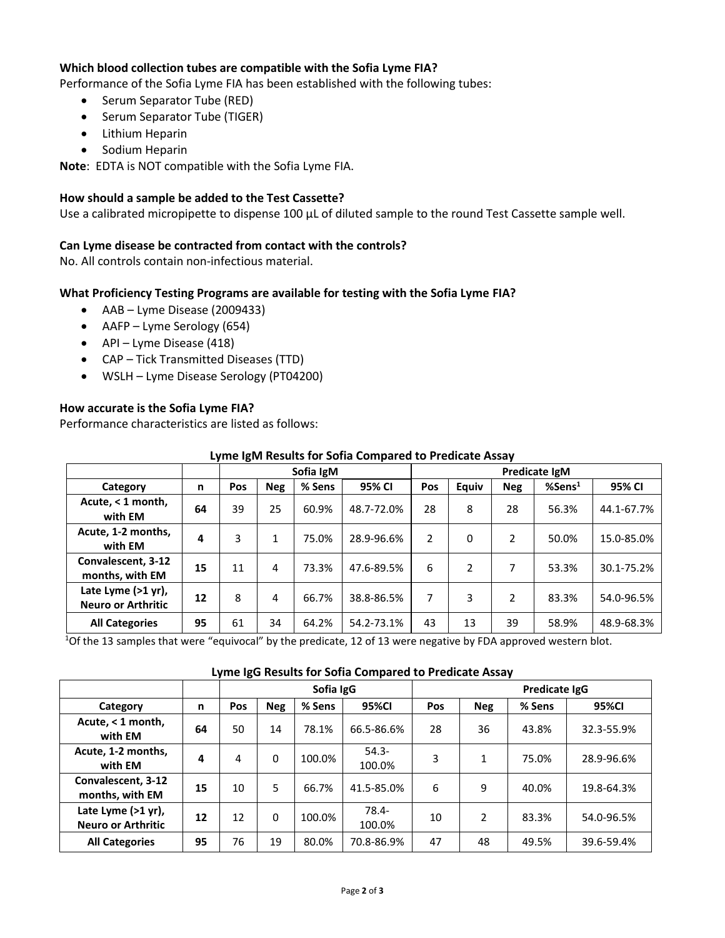### **Which blood collection tubes are compatible with the Sofia Lyme FIA?**

Performance of the Sofia Lyme FIA has been established with the following tubes:

- Serum Separator Tube (RED)
- Serum Separator Tube (TIGER)
- Lithium Heparin
- Sodium Heparin

**Note**: EDTA is NOT compatible with the Sofia Lyme FIA.

#### **How should a sample be added to the Test Cassette?**

Use a calibrated micropipette to dispense 100  $\mu$ L of diluted sample to the round Test Cassette sample well.

#### **Can Lyme disease be contracted from contact with the controls?**

No. All controls contain non-infectious material.

### **What Proficiency Testing Programs are available for testing with the Sofia Lyme FIA?**

- AAB Lyme Disease (2009433)
- AAFP Lyme Serology (654)
- API Lyme Disease (418)
- CAP Tick Transmitted Diseases (TTD)
- WSLH Lyme Disease Serology (PT04200)

### **How accurate is the Sofia Lyme FIA?**

Performance characteristics are listed as follows:

|                                                 |    |     |              | Sofia IgM<br>Predicate IgM |            |                |       |                |                    |            |
|-------------------------------------------------|----|-----|--------------|----------------------------|------------|----------------|-------|----------------|--------------------|------------|
| Category                                        | n  | Pos | <b>Neg</b>   | % Sens                     | 95% CI     | Pos            | Equiv | <b>Neg</b>     | %Sens <sup>1</sup> | 95% CI     |
| Acute, < 1 month,<br>with EM                    | 64 | 39  | 25           | 60.9%                      | 48.7-72.0% | 28             | 8     | 28             | 56.3%              | 44.1-67.7% |
| Acute, 1-2 months,<br>with EM                   | 4  | 3   | $\mathbf{1}$ | 75.0%                      | 28.9-96.6% | $\overline{2}$ | 0     | 2              | 50.0%              | 15.0-85.0% |
| Convalescent, 3-12<br>months, with EM           | 15 | 11  | 4            | 73.3%                      | 47.6-89.5% | 6              | 2     | 7              | 53.3%              | 30.1-75.2% |
| Late Lyme (>1 yr),<br><b>Neuro or Arthritic</b> | 12 | 8   | 4            | 66.7%                      | 38.8-86.5% | 7              | 3     | $\overline{2}$ | 83.3%              | 54.0-96.5% |
| <b>All Categories</b>                           | 95 | 61  | 34           | 64.2%                      | 54.2-73.1% | 43             | 13    | 39             | 58.9%              | 48.9-68.3% |

### **Lyme IgM Results for Sofia Compared to Predicate Assay**

 $10$ f the 13 samples that were "equivocal" by the predicate, 12 of 13 were negative by FDA approved western blot.

#### **Lyme IgG Results for Sofia Compared to Predicate Assay**

|                                                 |    | Sofia IgG  |            |        |                    | Predicate IgG |            |        |            |
|-------------------------------------------------|----|------------|------------|--------|--------------------|---------------|------------|--------|------------|
| Category                                        | n  | <b>Pos</b> | <b>Neg</b> | % Sens | 95%CI              | Pos           | <b>Neg</b> | % Sens | 95%CI      |
| Acute, < 1 month,<br>with EM                    | 64 | 50         | 14         | 78.1%  | 66.5-86.6%         | 28            | 36         | 43.8%  | 32.3-55.9% |
| Acute, 1-2 months,<br>with EM                   | 4  | 4          | $\Omega$   | 100.0% | $54.3 -$<br>100.0% | 3             | 1          | 75.0%  | 28.9-96.6% |
| Convalescent, 3-12<br>months, with EM           | 15 | 10         | 5          | 66.7%  | 41.5-85.0%         | 6             | 9          | 40.0%  | 19.8-64.3% |
| Late Lyme (>1 yr),<br><b>Neuro or Arthritic</b> | 12 | 12         | $\Omega$   | 100.0% | 78.4-<br>100.0%    | 10            | 2          | 83.3%  | 54.0-96.5% |
| <b>All Categories</b>                           | 95 | 76         | 19         | 80.0%  | 70.8-86.9%         | 47            | 48         | 49.5%  | 39.6-59.4% |